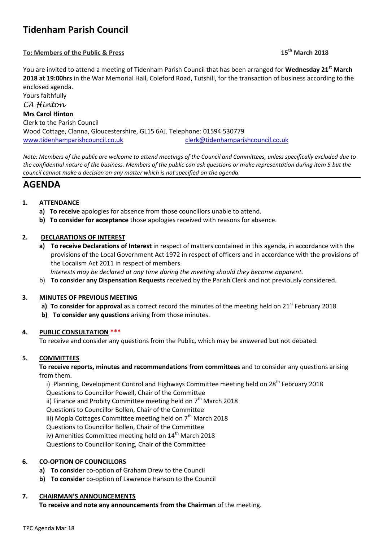# **Tidenham Parish Council**

# **To: Members of the Public & Press 15th March 2018**

You are invited to attend a meeting of Tidenham Parish Council that has been arranged for **Wednesday 21st March 2018 at 19:00hrs** in the War Memorial Hall, Coleford Road, Tutshill, for the transaction of business according to the enclosed agenda.

Yours faithfully *CA Hinton* **Mrs Carol Hinton** Clerk to the Parish Council Wood Cottage, Clanna, Gloucestershire, GL15 6AJ. Telephone: 01594 530779 [www.tidenhamparishcouncil.co.uk](http://www.tidenhamparishcouncil.co.uk/) [clerk@tidenhamparishcouncil.co.uk](mailto:clerk@tidenhamparishcouncil.co.uk)

*Note: Members of the public are welcome to attend meetings of the Council and Committees, unless specifically excluded due to the confidential nature of the business. Members of the public can ask questions or make representation during item 5 but the council cannot make a decision on any matter which is not specified on the agenda.*

# **AGENDA**

# **1. ATTENDANCE**

- **a) To receive** apologies for absence from those councillors unable to attend.
- **b) To consider for acceptance** those apologies received with reasons for absence.

# **2. DECLARATIONS OF INTEREST**

**a) To receive Declarations of Interest** in respect of matters contained in this agenda, in accordance with the provisions of the Local Government Act 1972 in respect of officers and in accordance with the provisions of the Localism Act 2011 in respect of members.

 *Interests may be declared at any time during the meeting should they become apparent.*

b) **To consider any Dispensation Requests** received by the Parish Clerk and not previously considered.

# **3. MINUTES OF PREVIOUS MEETING**

- **a) To consider for approval** as a correct record the minutes of the meeting held on 21<sup>st</sup> February 2018
- **b) To consider any questions** arising from those minutes.

# **4. PUBLIC CONSULTATION \*\*\***

To receive and consider any questions from the Public, which may be answered but not debated.

# **5. COMMITTEES**

**To receive reports, minutes and recommendations from committees** and to consider any questions arising from them.

i) Planning, Development Control and Highways Committee meeting held on 28<sup>th</sup> February 2018

Questions to Councillor Powell, Chair of the Committee

ii) Finance and Probity Committee meeting held on  $7<sup>th</sup>$  March 2018

Questions to Councillor Bollen, Chair of the Committee

iii) Mopla Cottages Committee meeting held on  $7<sup>th</sup>$  March 2018

Questions to Councillor Bollen, Chair of the Committee

iv) Amenities Committee meeting held on 14<sup>th</sup> March 2018

Questions to Councillor Koning, Chair of the Committee

# **6. CO-OPTION OF COUNCILLORS**

- **a) To consider** co-option of Graham Drew to the Council
- **b) To consider** co-option of Lawrence Hanson to the Council

#### **7. CHAIRMAN'S ANNOUNCEMENTS**

**To receive and note any announcements from the Chairman** of the meeting.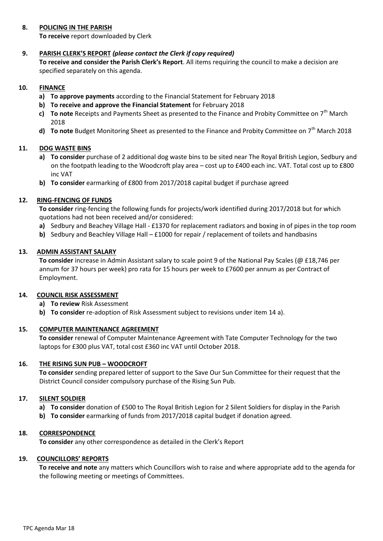#### **8. POLICING IN THE PARISH**

**To receive** report downloaded by Clerk

# **9. PARISH CLERK'S REPORT** *(please contact the Clerk if copy required)*

**To receive and consider the Parish Clerk's Report**. All items requiring the council to make a decision are specified separately on this agenda.

#### **10. FINANCE**

- **a) To approve payments** according to the Financial Statement for February 2018
- **b) To receive and approve the Financial Statement** for February 2018
- **c) To note** Receipts and Payments Sheet as presented to the Finance and Probity Committee on 7th March 2018
- **d) To note** Budget Monitoring Sheet as presented to the Finance and Probity Committee on 7<sup>th</sup> March 2018

#### **11. DOG WASTE BINS**

- **a) To consider** purchase of 2 additional dog waste bins to be sited near The Royal British Legion, Sedbury and on the footpath leading to the Woodcroft play area – cost up to £400 each inc. VAT. Total cost up to £800 inc VAT
- **b) To consider** earmarking of £800 from 2017/2018 capital budget if purchase agreed

#### **12. RING-FENCING OF FUNDS**

**To consider** ring-fencing the following funds for projects/work identified during 2017/2018 but for which quotations had not been received and/or considered:

- **a)** Sedbury and Beachey Village Hall £1370 for replacement radiators and boxing in of pipes in the top room
- **b)** Sedbury and Beachley Village Hall £1000 for repair / replacement of toilets and handbasins

#### **13. ADMIN ASSISTANT SALARY**

**To consider** increase in Admin Assistant salary to scale point 9 of the National Pay Scales (@ £18,746 per annum for 37 hours per week) pro rata for 15 hours per week to £7600 per annum as per Contract of Employment.

#### **14. COUNCIL RISK ASSESSMENT**

- **a) To review** Risk Assessment
- **b) To consider** re-adoption of Risk Assessment subject to revisions under item 14 a).

#### **15. COMPUTER MAINTENANCE AGREEMENT**

**To consider** renewal of Computer Maintenance Agreement with Tate Computer Technology for the two laptops for £300 plus VAT, total cost £360 inc VAT until October 2018.

#### **16. THE RISING SUN PUB – WOODCROFT**

**To consider** sending prepared letter of support to the Save Our Sun Committee for their request that the District Council consider compulsory purchase of the Rising Sun Pub.

#### **17. SILENT SOLDIER**

- **a) To consider** donation of £500 to The Royal British Legion for 2 Silent Soldiers for display in the Parish
- **b) To consider** earmarking of funds from 2017/2018 capital budget if donation agreed.

#### **18. CORRESPONDENCE**

**To consider** any other correspondence as detailed in the Clerk's Report

#### **19. COUNCILLORS' REPORTS**

**To receive and note** any matters which Councillors wish to raise and where appropriate add to the agenda for the following meeting or meetings of Committees.